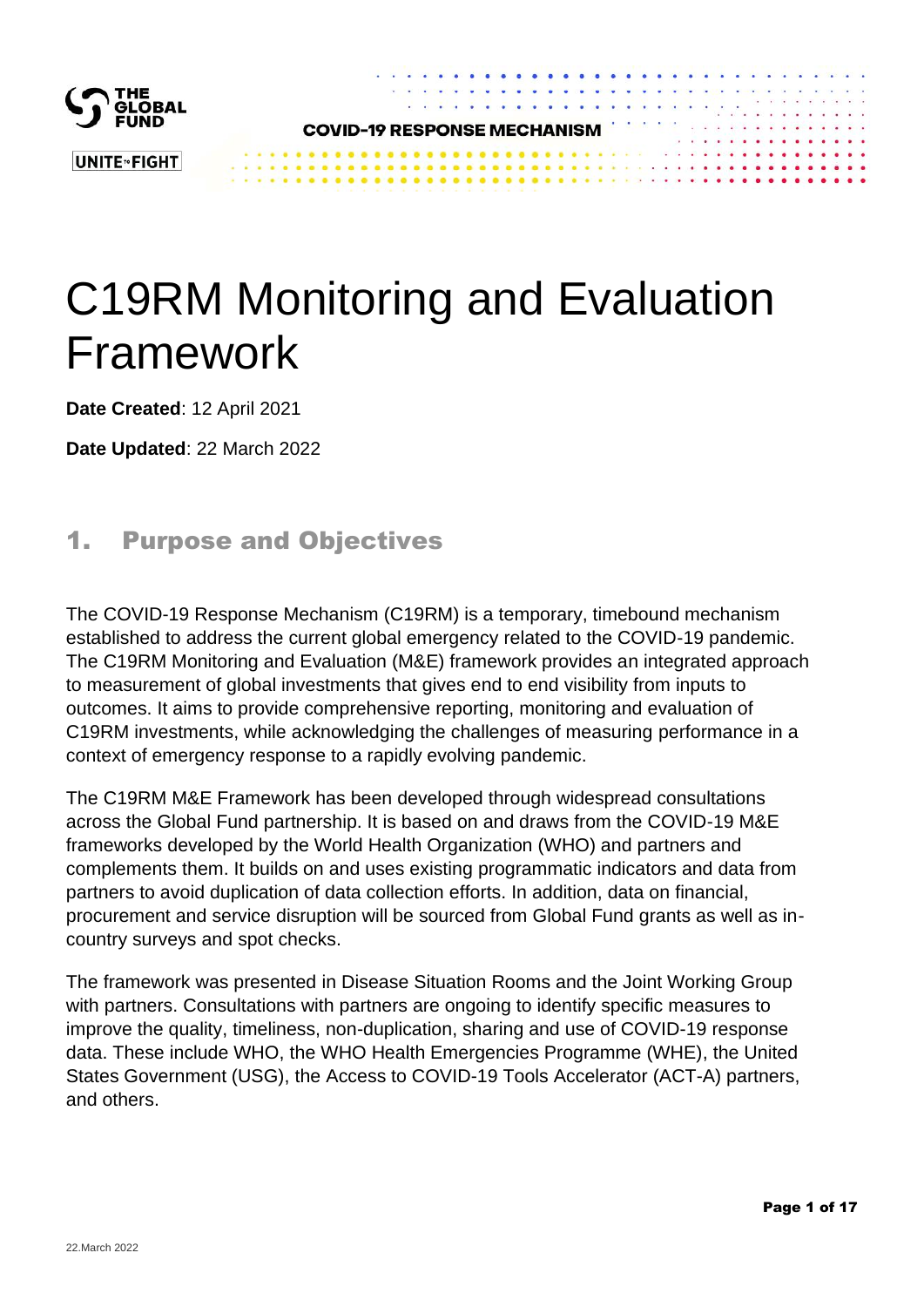

# C19RM Monitoring and Evaluation Framework

**Date Created**: 12 April 2021

**Date Updated**: 22 March 2022

## 1. Purpose and Objectives

The COVID-19 Response Mechanism (C19RM) is a temporary, timebound mechanism established to address the current global emergency related to the COVID-19 pandemic. The C19RM Monitoring and Evaluation (M&E) framework provides an integrated approach to measurement of global investments that gives end to end visibility from inputs to outcomes. It aims to provide comprehensive reporting, monitoring and evaluation of C19RM investments, while acknowledging the challenges of measuring performance in a context of emergency response to a rapidly evolving pandemic.

The C19RM M&E Framework has been developed through widespread consultations across the Global Fund partnership. It is based on and draws from the COVID-19 M&E frameworks developed by the World Health Organization (WHO) and partners and complements them. It builds on and uses existing programmatic indicators and data from partners to avoid duplication of data collection efforts. In addition, data on financial, procurement and service disruption will be sourced from Global Fund grants as well as incountry surveys and spot checks.

The framework was presented in Disease Situation Rooms and the Joint Working Group with partners. Consultations with partners are ongoing to identify specific measures to improve the quality, timeliness, non-duplication, sharing and use of COVID-19 response data. These include WHO, the WHO Health Emergencies Programme (WHE), the United States Government (USG), the Access to COVID-19 Tools Accelerator (ACT-A) partners, and others.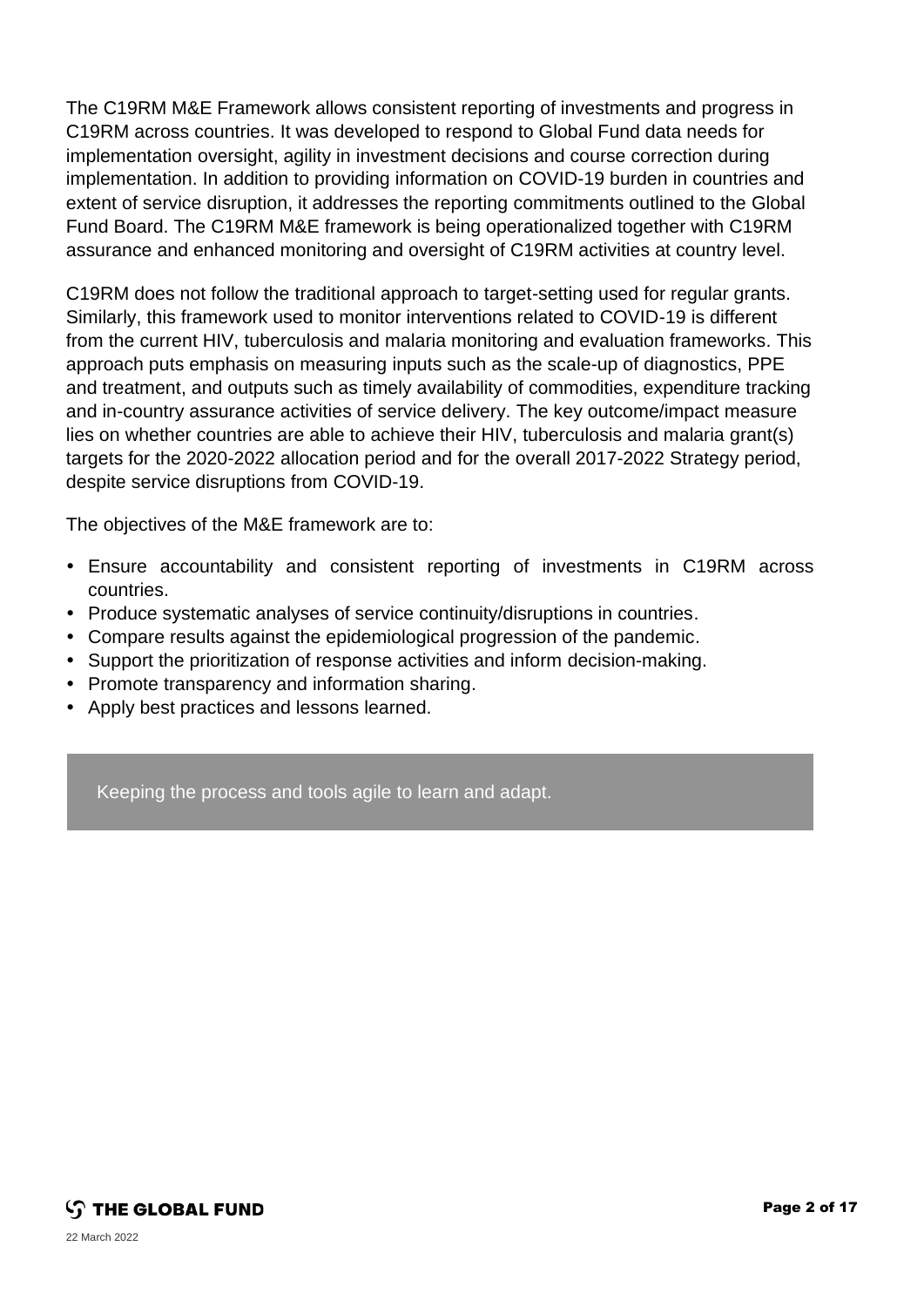The C19RM M&E Framework allows consistent reporting of investments and progress in C19RM across countries. It was developed to respond to Global Fund data needs for implementation oversight, agility in investment decisions and course correction during implementation. In addition to providing information on COVID-19 burden in countries and extent of service disruption, it addresses the reporting commitments outlined to the Global Fund Board. The C19RM M&E framework is being operationalized together with C19RM assurance and enhanced monitoring and oversight of C19RM activities at country level.

C19RM does not follow the traditional approach to target-setting used for regular grants. Similarly, this framework used to monitor interventions related to COVID-19 is different from the current HIV, tuberculosis and malaria monitoring and evaluation frameworks. This approach puts emphasis on measuring inputs such as the scale-up of diagnostics, PPE and treatment, and outputs such as timely availability of commodities, expenditure tracking and in-country assurance activities of service delivery. The key outcome/impact measure lies on whether countries are able to achieve their HIV, tuberculosis and malaria grant(s) targets for the 2020-2022 allocation period and for the overall 2017-2022 Strategy period, despite service disruptions from COVID-19.

The objectives of the M&E framework are to:

- Ensure accountability and consistent reporting of investments in C19RM across countries.
- Produce systematic analyses of service continuity/disruptions in countries.
- Compare results against the epidemiological progression of the pandemic.
- Support the prioritization of response activities and inform decision-making.
- Promote transparency and information sharing.
- Apply best practices and lessons learned.

Keeping the process and tools agile to learn and adapt.

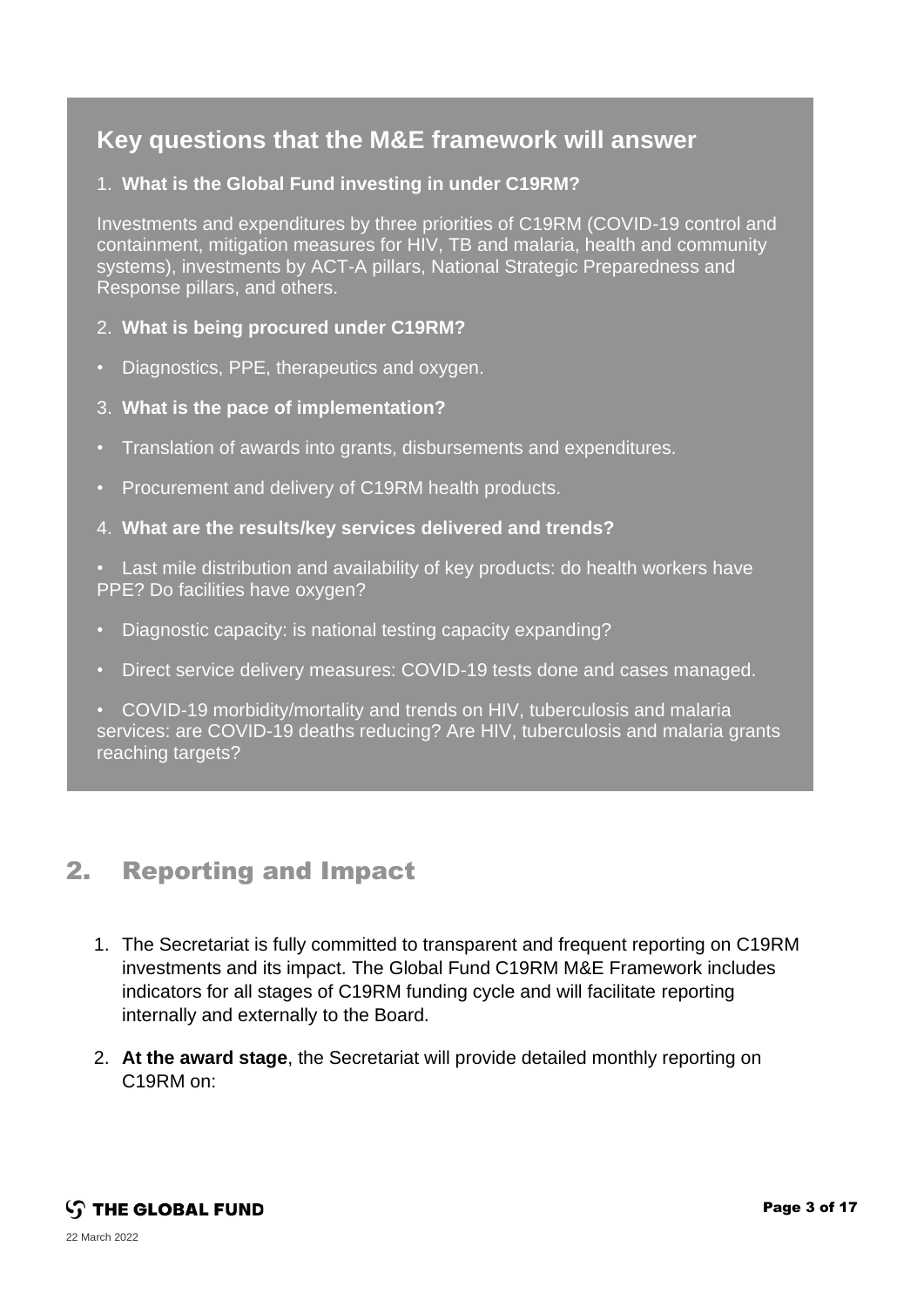## **Key questions that the M&E framework will answer**

#### 1. **What is the Global Fund investing in under C19RM?**

Investments and expenditures by three priorities of C19RM (COVID-19 control and containment, mitigation measures for HIV, TB and malaria, health and community systems), investments by ACT-A pillars, National Strategic Preparedness and Response pillars, and others.

#### 2. **What is being procured under C19RM?**

- Diagnostics, PPE, therapeutics and oxygen.
- 3. **What is the pace of implementation?**
- Translation of awards into grants, disbursements and expenditures.
- Procurement and delivery of C19RM health products.
- 4. **What are the results/key services delivered and trends?**
- Last mile distribution and availability of key products: do health workers have PPE? Do facilities have oxygen?
- Diagnostic capacity: is national testing capacity expanding?
- Direct service delivery measures: COVID-19 tests done and cases managed.
- COVID-19 morbidity/mortality and trends on HIV, tuberculosis and malaria services: are COVID-19 deaths reducing? Are HIV, tuberculosis and malaria grants reaching targets?

### 2. Reporting and Impact

- 1. The Secretariat is fully committed to transparent and frequent reporting on C19RM investments and its impact. The Global Fund C19RM M&E Framework includes indicators for all stages of C19RM funding cycle and will facilitate reporting internally and externally to the Board.
- 2. **At the award stage**, the Secretariat will provide detailed monthly reporting on C19RM on: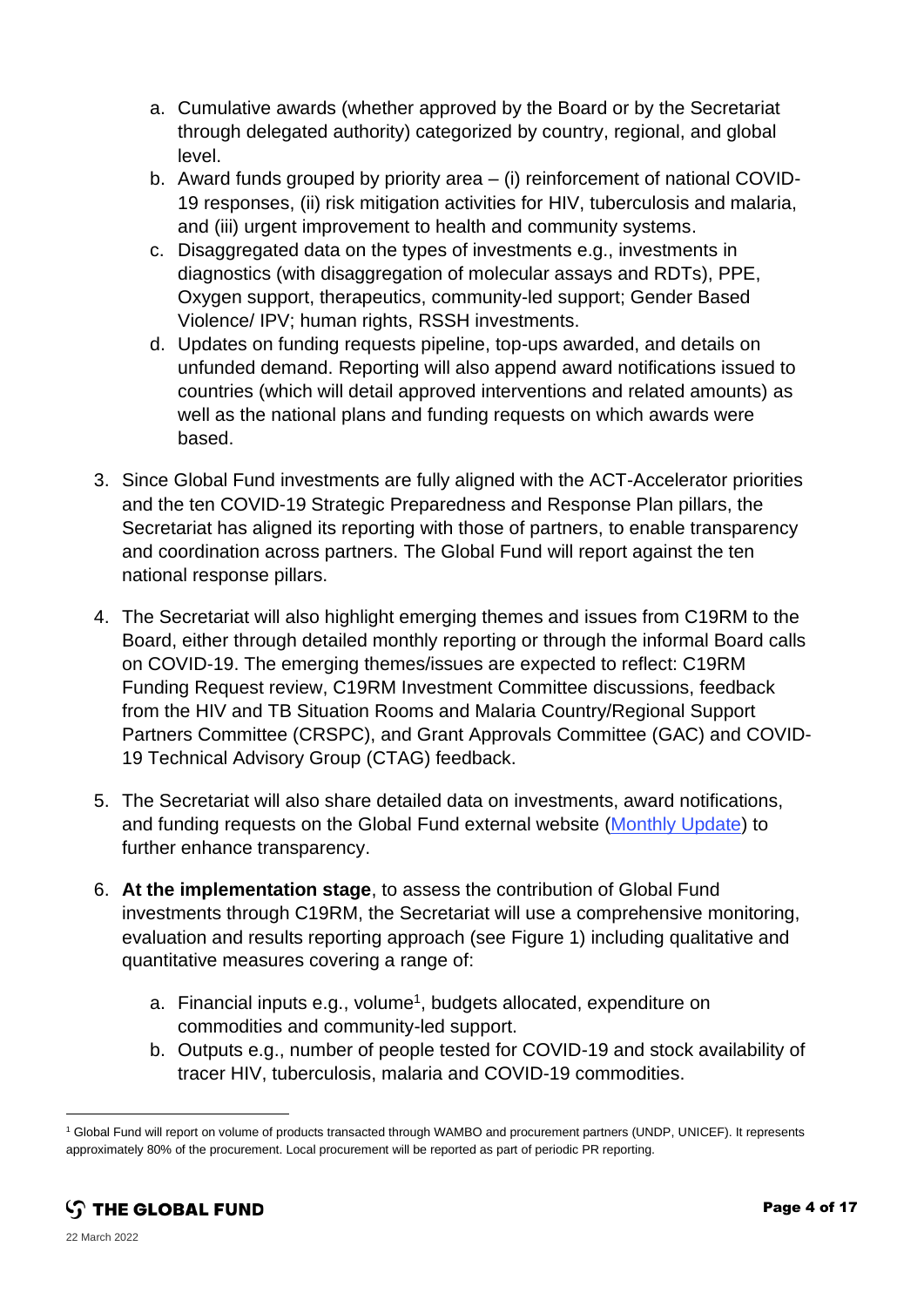- a. Cumulative awards (whether approved by the Board or by the Secretariat through delegated authority) categorized by country, regional, and global level.
- b. Award funds grouped by priority area (i) reinforcement of national COVID-19 responses, (ii) risk mitigation activities for HIV, tuberculosis and malaria, and (iii) urgent improvement to health and community systems.
- c. Disaggregated data on the types of investments e.g., investments in diagnostics (with disaggregation of molecular assays and RDTs), PPE, Oxygen support, therapeutics, community-led support; Gender Based Violence/ IPV; human rights, RSSH investments.
- d. Updates on funding requests pipeline, top-ups awarded, and details on unfunded demand. Reporting will also append award notifications issued to countries (which will detail approved interventions and related amounts) as well as the national plans and funding requests on which awards were based.
- 3. Since Global Fund investments are fully aligned with the ACT-Accelerator priorities and the ten COVID-19 Strategic Preparedness and Response Plan pillars, the Secretariat has aligned its reporting with those of partners, to enable transparency and coordination across partners. The Global Fund will report against the ten national response pillars.
- 4. The Secretariat will also highlight emerging themes and issues from C19RM to the Board, either through detailed monthly reporting or through the informal Board calls on COVID-19. The emerging themes/issues are expected to reflect: C19RM Funding Request review, C19RM Investment Committee discussions, feedback from the HIV and TB Situation Rooms and Malaria Country/Regional Support Partners Committee (CRSPC), and Grant Approvals Committee (GAC) and COVID-19 Technical Advisory Group (CTAG) feedback.
- 5. The Secretariat will also share detailed data on investments, award notifications, and funding requests on the Global Fund external website [\(Monthly Update\)](https://www.theglobalfund.org/en/covid-19/monthly-update-to-the-board/) to further enhance transparency.
- 6. **At the implementation stage**, to assess the contribution of Global Fund investments through C19RM, the Secretariat will use a comprehensive monitoring, evaluation and results reporting approach (see Figure 1) including qualitative and quantitative measures covering a range of:
	- a. Financial inputs e.g., volume<sup>1</sup>, budgets allocated, expenditure on commodities and community-led support.
	- b. Outputs e.g., number of people tested for COVID-19 and stock availability of tracer HIV, tuberculosis, malaria and COVID-19 commodities.

<sup>1</sup> Global Fund will report on volume of products transacted through WAMBO and procurement partners (UNDP, UNICEF). It represents approximately 80% of the procurement. Local procurement will be reported as part of periodic PR reporting.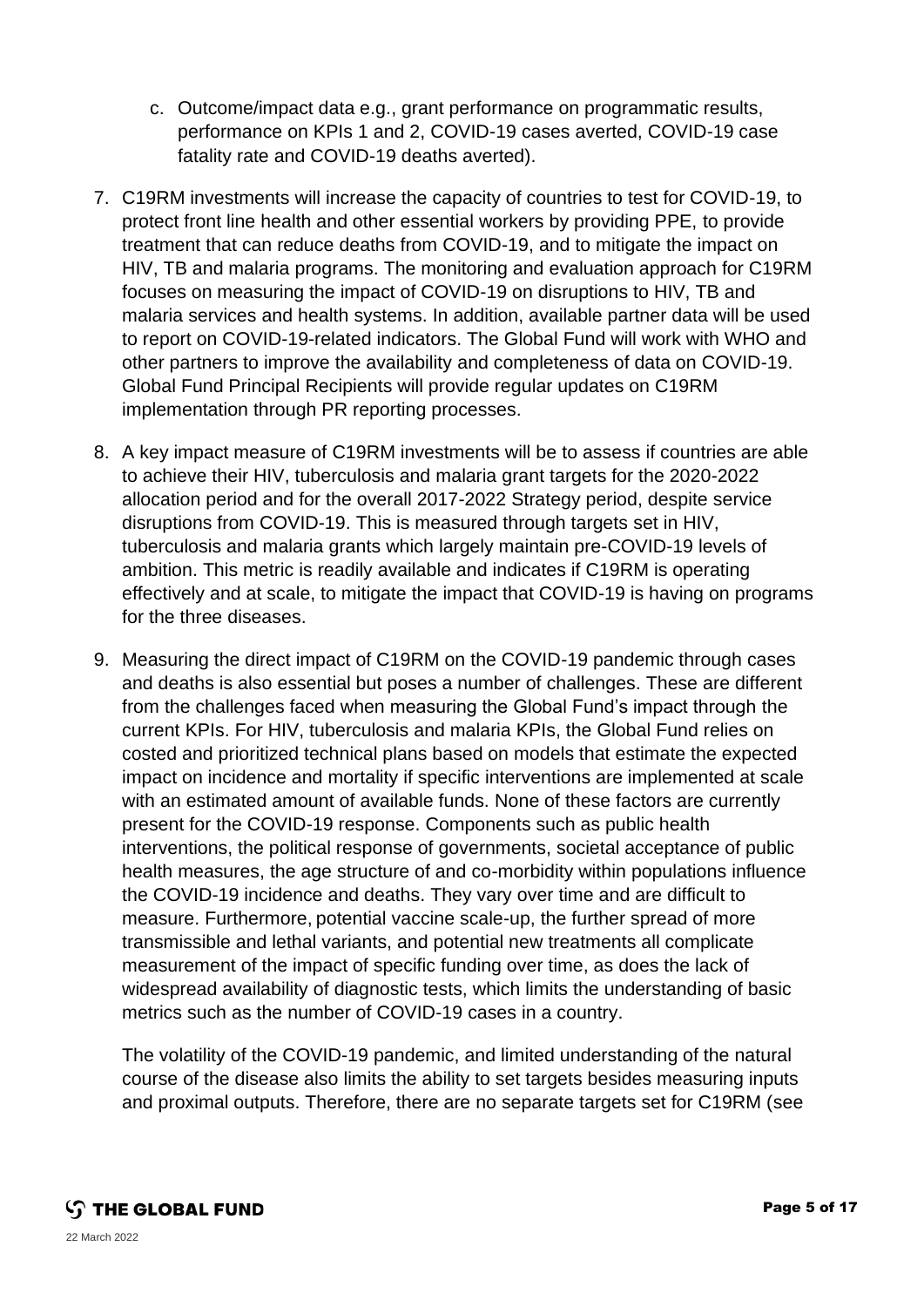- c. Outcome/impact data e.g., grant performance on programmatic results, performance on KPIs 1 and 2, COVID-19 cases averted, COVID-19 case fatality rate and COVID-19 deaths averted).
- 7. C19RM investments will increase the capacity of countries to test for COVID-19, to protect front line health and other essential workers by providing PPE, to provide treatment that can reduce deaths from COVID-19, and to mitigate the impact on HIV, TB and malaria programs. The monitoring and evaluation approach for C19RM focuses on measuring the impact of COVID-19 on disruptions to HIV, TB and malaria services and health systems. In addition, available partner data will be used to report on COVID-19-related indicators. The Global Fund will work with WHO and other partners to improve the availability and completeness of data on COVID-19. Global Fund Principal Recipients will provide regular updates on C19RM implementation through PR reporting processes.
- 8. A key impact measure of C19RM investments will be to assess if countries are able to achieve their HIV, tuberculosis and malaria grant targets for the 2020-2022 allocation period and for the overall 2017-2022 Strategy period, despite service disruptions from COVID-19. This is measured through targets set in HIV, tuberculosis and malaria grants which largely maintain pre-COVID-19 levels of ambition. This metric is readily available and indicates if C19RM is operating effectively and at scale, to mitigate the impact that COVID-19 is having on programs for the three diseases.
- 9. Measuring the direct impact of C19RM on the COVID-19 pandemic through cases and deaths is also essential but poses a number of challenges. These are different from the challenges faced when measuring the Global Fund's impact through the current KPIs. For HIV, tuberculosis and malaria KPIs, the Global Fund relies on costed and prioritized technical plans based on models that estimate the expected impact on incidence and mortality if specific interventions are implemented at scale with an estimated amount of available funds. None of these factors are currently present for the COVID-19 response. Components such as public health interventions, the political response of governments, societal acceptance of public health measures, the age structure of and co-morbidity within populations influence the COVID-19 incidence and deaths. They vary over time and are difficult to measure. Furthermore, potential vaccine scale-up, the further spread of more transmissible and lethal variants, and potential new treatments all complicate measurement of the impact of specific funding over time, as does the lack of widespread availability of diagnostic tests, which limits the understanding of basic metrics such as the number of COVID-19 cases in a country.

The volatility of the COVID-19 pandemic, and limited understanding of the natural course of the disease also limits the ability to set targets besides measuring inputs and proximal outputs. Therefore, there are no separate targets set for C19RM (see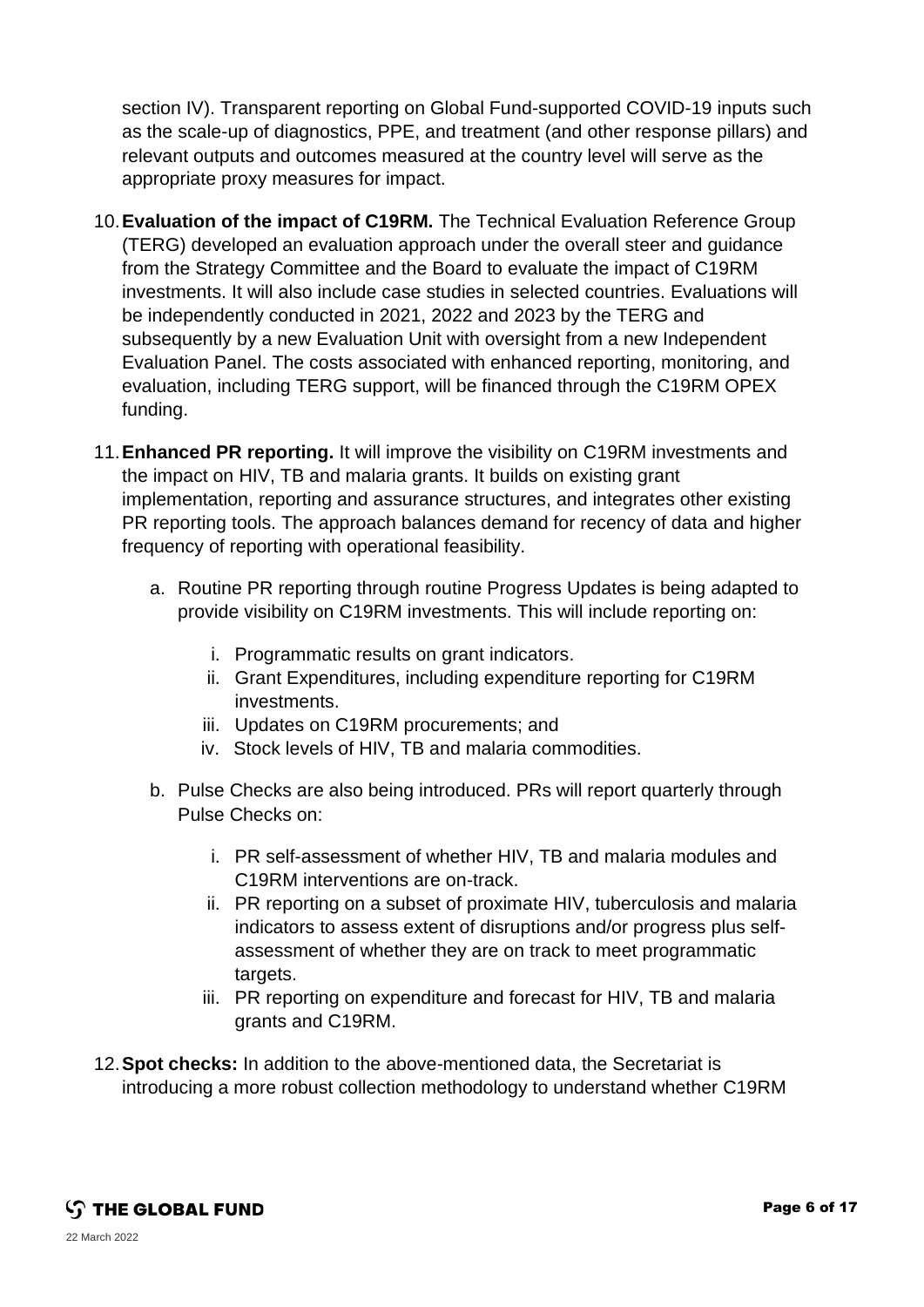section IV). Transparent reporting on Global Fund-supported COVID-19 inputs such as the scale-up of diagnostics, PPE, and treatment (and other response pillars) and relevant outputs and outcomes measured at the country level will serve as the appropriate proxy measures for impact.

- 10.**Evaluation of the impact of C19RM.** The Technical Evaluation Reference Group (TERG) developed an evaluation approach under the overall steer and guidance from the Strategy Committee and the Board to evaluate the impact of C19RM investments. It will also include case studies in selected countries. Evaluations will be independently conducted in 2021, 2022 and 2023 by the TERG and subsequently by a new Evaluation Unit with oversight from a new Independent Evaluation Panel. The costs associated with enhanced reporting, monitoring, and evaluation, including TERG support, will be financed through the C19RM OPEX funding.
- 11.**Enhanced PR reporting.** It will improve the visibility on C19RM investments and the impact on HIV, TB and malaria grants. It builds on existing grant implementation, reporting and assurance structures, and integrates other existing PR reporting tools. The approach balances demand for recency of data and higher frequency of reporting with operational feasibility.
	- a. Routine PR reporting through routine Progress Updates is being adapted to provide visibility on C19RM investments. This will include reporting on:
		- i. Programmatic results on grant indicators.
		- ii. Grant Expenditures, including expenditure reporting for C19RM investments.
		- iii. Updates on C19RM procurements; and
		- iv. Stock levels of HIV, TB and malaria commodities.
	- b. Pulse Checks are also being introduced. PRs will report quarterly through Pulse Checks on:
		- i. PR self-assessment of whether HIV, TB and malaria modules and C19RM interventions are on-track.
		- ii. PR reporting on a subset of proximate HIV, tuberculosis and malaria indicators to assess extent of disruptions and/or progress plus selfassessment of whether they are on track to meet programmatic targets.
		- iii. PR reporting on expenditure and forecast for HIV, TB and malaria grants and C19RM.
- 12.**Spot checks:** In addition to the above-mentioned data, the Secretariat is introducing a more robust collection methodology to understand whether C19RM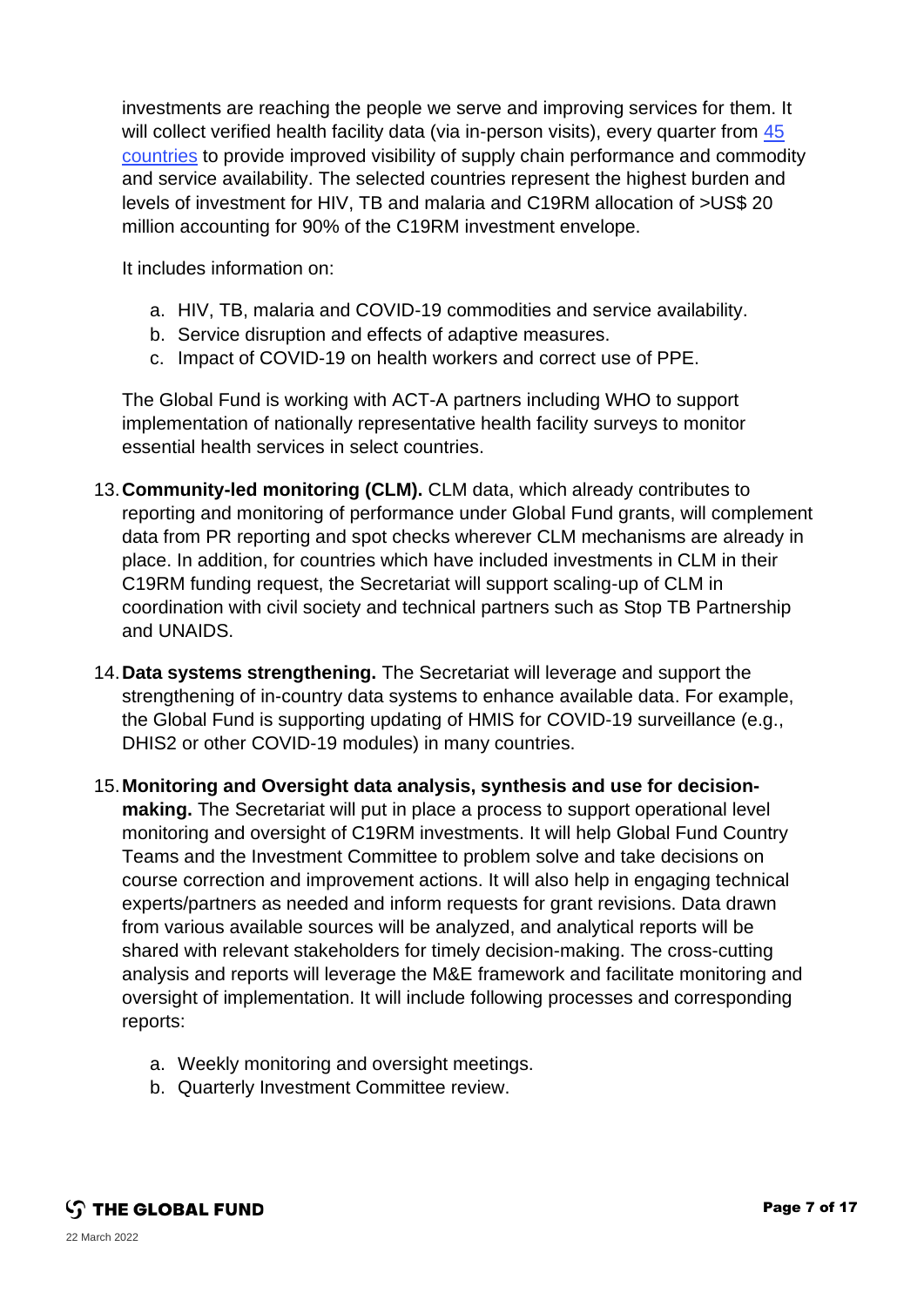investments are reaching the people we serve and improving services for them. It will collect verified health facility data (via in-person visits), every quarter from 45 [countries](https://www.theglobalfund.org/media/11293/fundingmodel_supply-chain-health-services-spot-checks-countries_list_en.pdf) to provide improved visibility of supply chain performance and commodity and service availability. The selected countries represent the highest burden and levels of investment for HIV, TB and malaria and C19RM allocation of >US\$ 20 million accounting for 90% of the C19RM investment envelope.

It includes information on:

- a. HIV, TB, malaria and COVID-19 commodities and service availability.
- b. Service disruption and effects of adaptive measures.
- c. Impact of COVID-19 on health workers and correct use of PPE.

The Global Fund is working with ACT-A partners including WHO to support implementation of nationally representative health facility surveys to monitor essential health services in select countries.

- 13.**Community-led monitoring (CLM).** CLM data, which already contributes to reporting and monitoring of performance under Global Fund grants, will complement data from PR reporting and spot checks wherever CLM mechanisms are already in place. In addition, for countries which have included investments in CLM in their C19RM funding request, the Secretariat will support scaling-up of CLM in coordination with civil society and technical partners such as Stop TB Partnership and UNAIDS.
- 14.**Data systems strengthening.** The Secretariat will leverage and support the strengthening of in-country data systems to enhance available data. For example, the Global Fund is supporting updating of HMIS for COVID-19 surveillance (e.g., DHIS2 or other COVID-19 modules) in many countries.
- 15.**Monitoring and Oversight data analysis, synthesis and use for decisionmaking.** The Secretariat will put in place a process to support operational level monitoring and oversight of C19RM investments. It will help Global Fund Country Teams and the Investment Committee to problem solve and take decisions on course correction and improvement actions. It will also help in engaging technical experts/partners as needed and inform requests for grant revisions. Data drawn from various available sources will be analyzed, and analytical reports will be shared with relevant stakeholders for timely decision-making. The cross-cutting analysis and reports will leverage the M&E framework and facilitate monitoring and oversight of implementation. It will include following processes and corresponding reports:
	- a. Weekly monitoring and oversight meetings.
	- b. Quarterly Investment Committee review.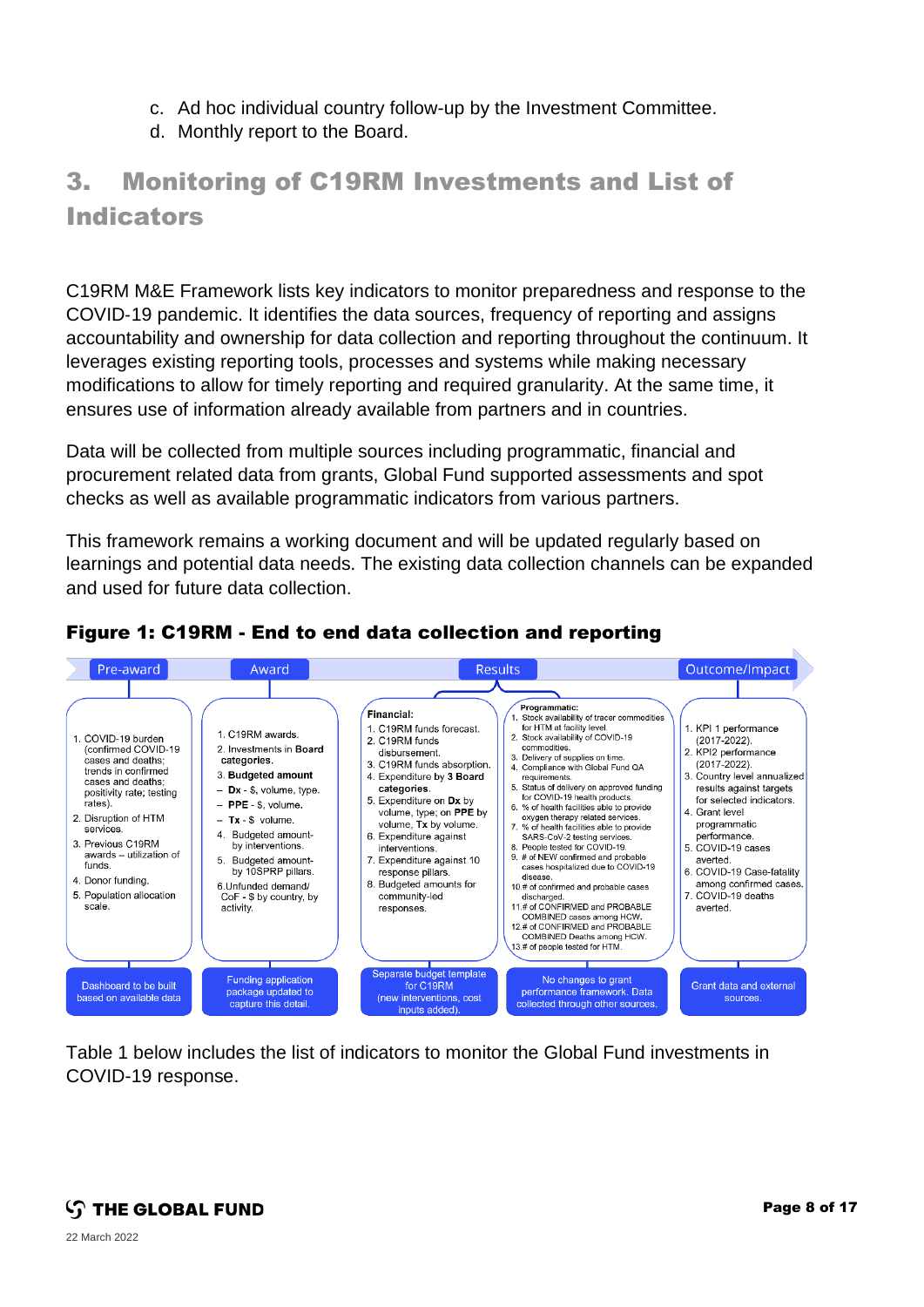- c. Ad hoc individual country follow-up by the Investment Committee.
- d. Monthly report to the Board.

## 3. Monitoring of C19RM Investments and List of **Indicators**

C19RM M&E Framework lists key indicators to monitor preparedness and response to the COVID‑19 pandemic. It identifies the data sources, frequency of reporting and assigns accountability and ownership for data collection and reporting throughout the continuum. It leverages existing reporting tools, processes and systems while making necessary modifications to allow for timely reporting and required granularity. At the same time, it ensures use of information already available from partners and in countries.

Data will be collected from multiple sources including programmatic, financial and procurement related data from grants, Global Fund supported assessments and spot checks as well as available programmatic indicators from various partners.

This framework remains a working document and will be updated regularly based on learnings and potential data needs. The existing data collection channels can be expanded and used for future data collection.



#### Figure 1: C19RM - End to end data collection and reporting

Table 1 below includes the list of indicators to monitor the Global Fund investments in COVID-19 response.

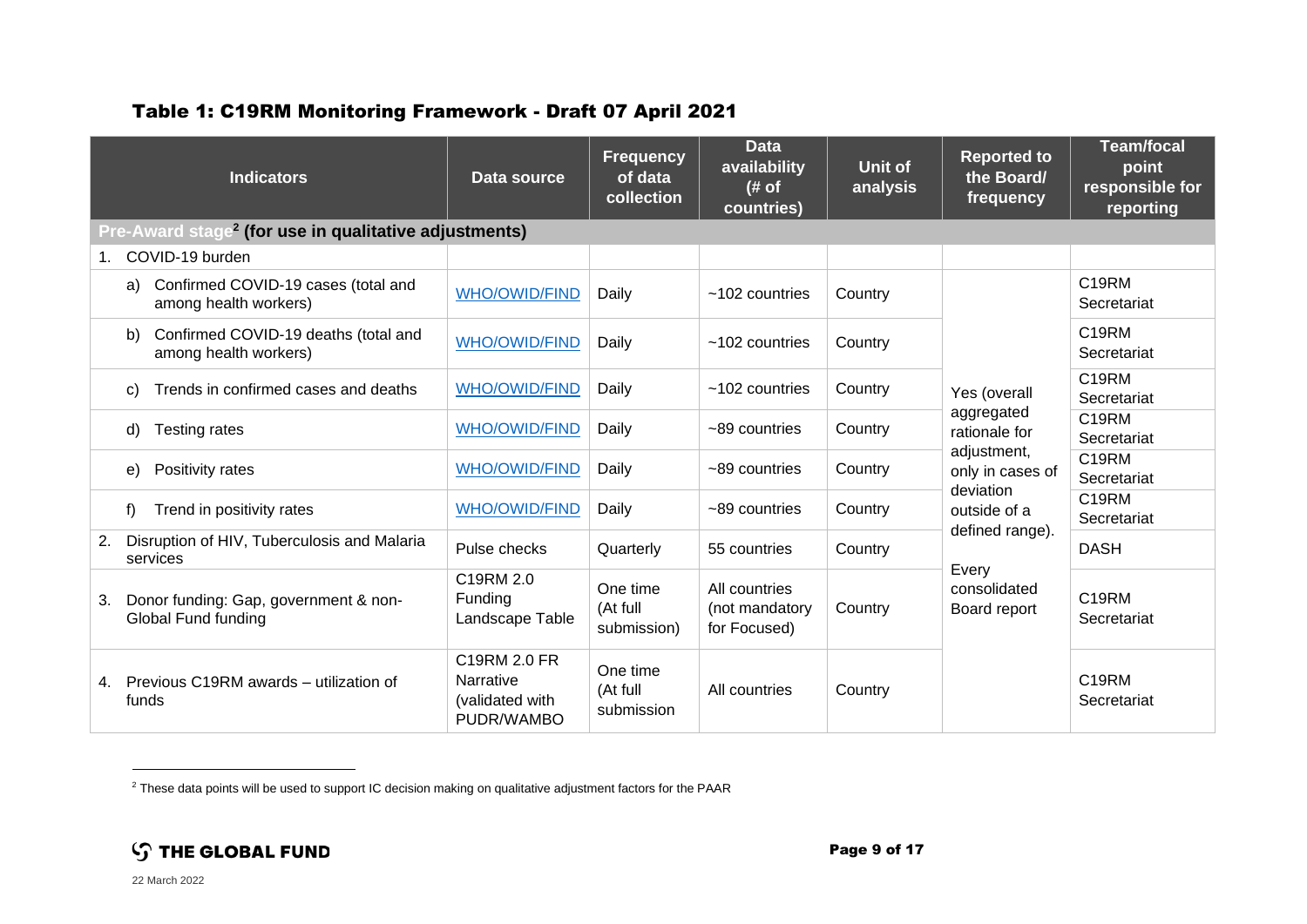#### Table 1: C19RM Monitoring Framework - Draft 07 April 2021

| <b>Indicators</b>                                                   | Data source                                                | <b>Frequency</b><br>of data<br>collection | <b>Data</b><br>availability<br>(# of)<br>countries) | <b>Unit of</b><br>analysis | <b>Reported to</b><br>the Board/<br>frequency                                                                                                                           | <b>Team/focal</b><br>point<br>responsible for<br>reporting |
|---------------------------------------------------------------------|------------------------------------------------------------|-------------------------------------------|-----------------------------------------------------|----------------------------|-------------------------------------------------------------------------------------------------------------------------------------------------------------------------|------------------------------------------------------------|
| Pre-Award stage <sup>2</sup> (for use in qualitative adjustments)   |                                                            |                                           |                                                     |                            |                                                                                                                                                                         |                                                            |
| COVID-19 burden<br>$1_{-}$                                          |                                                            |                                           |                                                     |                            |                                                                                                                                                                         |                                                            |
| Confirmed COVID-19 cases (total and<br>a)<br>among health workers)  | <b>WHO/OWID/FIND</b>                                       | Daily                                     | $~102$ countries                                    | Country                    | Yes (overall<br>aggregated<br>rationale for<br>adjustment,<br>only in cases of<br>deviation<br>outside of a<br>defined range).<br>Every<br>consolidated<br>Board report | C19RM<br>Secretariat                                       |
| Confirmed COVID-19 deaths (total and<br>b)<br>among health workers) | <b>WHO/OWID/FIND</b>                                       | Daily                                     | $~102$ countries                                    | Country                    |                                                                                                                                                                         | C19RM<br>Secretariat                                       |
| Trends in confirmed cases and deaths<br>C)                          | <b>WHO/OWID/FIND</b>                                       | Daily                                     | $~102$ countries                                    | Country                    |                                                                                                                                                                         | C <sub>19RM</sub><br>Secretariat                           |
| Testing rates<br>d)                                                 | <b>WHO/OWID/FIND</b>                                       | Daily                                     | $~100$ countries                                    | Country                    |                                                                                                                                                                         | C <sub>19RM</sub><br>Secretariat                           |
| Positivity rates<br>e)                                              | <b>WHO/OWID/FIND</b>                                       | Daily                                     | $~100$ countries                                    | Country                    |                                                                                                                                                                         | C <sub>19RM</sub><br>Secretariat                           |
| Trend in positivity rates<br>f                                      | <b>WHO/OWID/FIND</b>                                       | Daily                                     | $~10-89$ countries                                  | Country                    |                                                                                                                                                                         | C19RM<br>Secretariat                                       |
| Disruption of HIV, Tuberculosis and Malaria<br>2.<br>services       | Pulse checks                                               | Quarterly                                 | 55 countries                                        | Country                    |                                                                                                                                                                         | <b>DASH</b>                                                |
| Donor funding: Gap, government & non-<br>3.<br>Global Fund funding  | C19RM 2.0<br>Funding<br>Landscape Table                    | One time<br>(At full<br>submission)       | All countries<br>(not mandatory<br>for Focused)     | Country                    |                                                                                                                                                                         | C19RM<br>Secretariat                                       |
| Previous C19RM awards – utilization of<br>4.<br>funds               | C19RM 2.0 FR<br>Narrative<br>(validated with<br>PUDR/WAMBO | One time<br>(At full<br>submission        | All countries                                       | Country                    |                                                                                                                                                                         | C <sub>19</sub> RM<br>Secretariat                          |

<sup>2</sup> These data points will be used to support IC decision making on qualitative adjustment factors for the PAAR

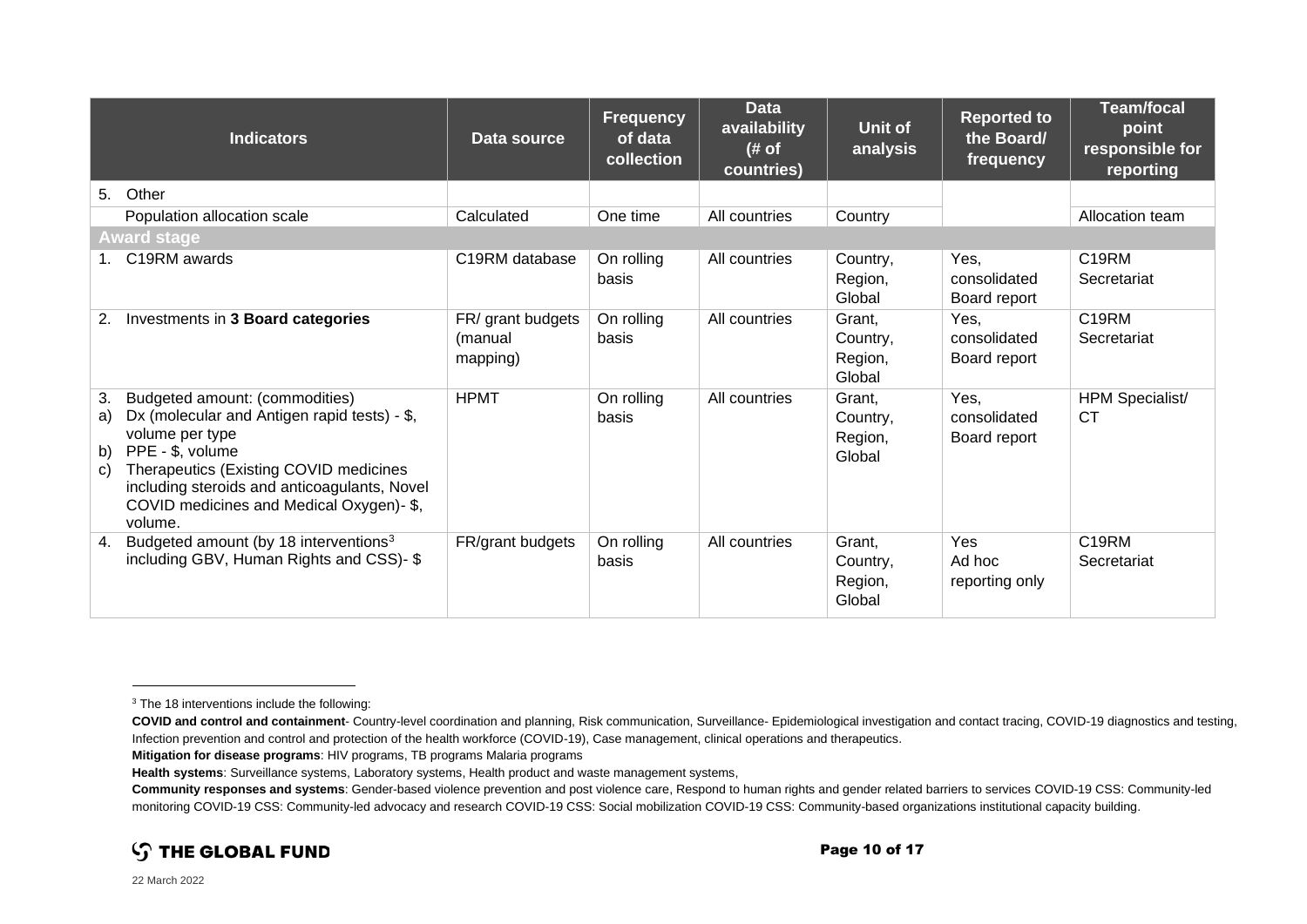| <b>Indicators</b>                                                                                                                                                                                                                                                                              | Data source                              | <b>Frequency</b><br>of data<br>collection | <b>Data</b><br>availability<br># of<br>countries) | Unit of<br>analysis                     | <b>Reported to</b><br>the Board/<br>frequency | <b>Team/focal</b><br>point<br>responsible for<br>reporting |
|------------------------------------------------------------------------------------------------------------------------------------------------------------------------------------------------------------------------------------------------------------------------------------------------|------------------------------------------|-------------------------------------------|---------------------------------------------------|-----------------------------------------|-----------------------------------------------|------------------------------------------------------------|
| Other<br>5.                                                                                                                                                                                                                                                                                    |                                          |                                           |                                                   |                                         |                                               |                                                            |
| Population allocation scale                                                                                                                                                                                                                                                                    | Calculated                               | One time                                  | All countries                                     | Country                                 |                                               | Allocation team                                            |
| <b>Award stage</b>                                                                                                                                                                                                                                                                             |                                          |                                           |                                                   |                                         |                                               |                                                            |
| 1. C19RM awards                                                                                                                                                                                                                                                                                | C <sub>19</sub> RM database              | On rolling<br>basis                       | All countries                                     | Country,<br>Region,<br>Global           | Yes,<br>consolidated<br>Board report          | C <sub>19RM</sub><br>Secretariat                           |
| Investments in 3 Board categories<br>2.                                                                                                                                                                                                                                                        | FR/ grant budgets<br>(manual<br>mapping) | On rolling<br>basis                       | All countries                                     | Grant,<br>Country,<br>Region,<br>Global | Yes,<br>consolidated<br>Board report          | C19RM<br>Secretariat                                       |
| Budgeted amount: (commodities)<br>3.<br>Dx (molecular and Antigen rapid tests) - \$,<br>a)<br>volume per type<br>PPE - \$, volume<br>b)<br>Therapeutics (Existing COVID medicines<br>C)<br>including steroids and anticoagulants, Novel<br>COVID medicines and Medical Oxygen)- \$,<br>volume. | <b>HPMT</b>                              | On rolling<br>basis                       | All countries                                     | Grant,<br>Country,<br>Region,<br>Global | Yes,<br>consolidated<br>Board report          | <b>HPM Specialist/</b><br>СT                               |
| Budgeted amount (by 18 interventions <sup>3</sup><br>4.<br>including GBV, Human Rights and CSS)- \$                                                                                                                                                                                            | FR/grant budgets                         | On rolling<br>basis                       | All countries                                     | Grant,<br>Country,<br>Region,<br>Global | Yes<br>Ad hoc<br>reporting only               | C19RM<br>Secretariat                                       |

**Community responses and systems**: Gender-based violence prevention and post violence care, Respond to human rights and gender related barriers to services COVID-19 CSS: Community-led monitoring COVID-19 CSS: Community-led advocacy and research COVID-19 CSS: Social mobilization COVID-19 CSS: Community-based organizations institutional capacity building.



<sup>&</sup>lt;sup>3</sup> The 18 interventions include the following:

**COVID and control and containment**- Country-level coordination and planning, Risk communication, Surveillance- Epidemiological investigation and contact tracing, COVID-19 diagnostics and testing, Infection prevention and control and protection of the health workforce (COVID-19), Case management, clinical operations and therapeutics.

**Mitigation for disease programs**: HIV programs, TB programs Malaria programs

**Health systems**: Surveillance systems, Laboratory systems, Health product and waste management systems,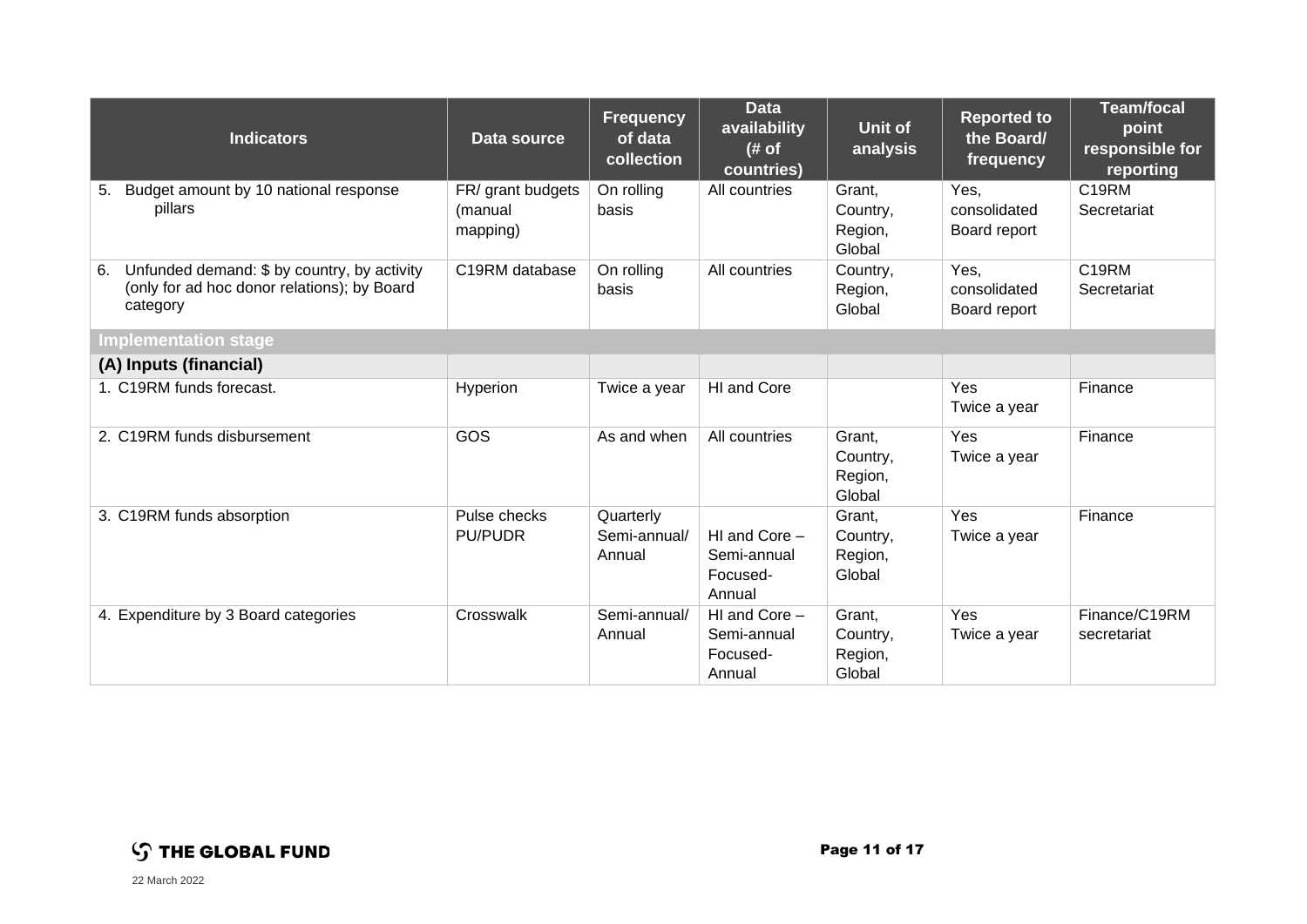| <b>Indicators</b>                                                                                            | Data source                              | <b>Frequency</b><br>of data<br>collection | <b>Data</b><br>availability<br># of<br>countries)  | Unit of<br>analysis                     | <b>Reported to</b><br>the Board/<br>frequency | <b>Team/focal</b><br>point<br>responsible for<br>reporting |  |
|--------------------------------------------------------------------------------------------------------------|------------------------------------------|-------------------------------------------|----------------------------------------------------|-----------------------------------------|-----------------------------------------------|------------------------------------------------------------|--|
| Budget amount by 10 national response<br>5.<br>pillars                                                       | FR/ grant budgets<br>(manual<br>mapping) | On rolling<br>basis                       | All countries                                      | Grant,<br>Country,<br>Region,<br>Global | Yes,<br>consolidated<br>Board report          | C19RM<br>Secretariat                                       |  |
| Unfunded demand: \$ by country, by activity<br>6.<br>(only for ad hoc donor relations); by Board<br>category | C19RM database                           | On rolling<br>basis                       | All countries                                      | Country,<br>Region,<br>Global           | Yes,<br>consolidated<br>Board report          | C19RM<br>Secretariat                                       |  |
| <b>Implementation stage</b>                                                                                  |                                          |                                           |                                                    |                                         |                                               |                                                            |  |
| (A) Inputs (financial)                                                                                       |                                          |                                           |                                                    |                                         |                                               |                                                            |  |
| 1. C19RM funds forecast.                                                                                     | Hyperion                                 | Twice a year                              | HI and Core                                        |                                         | Yes<br>Twice a year                           | Finance                                                    |  |
| 2. C19RM funds disbursement                                                                                  | GOS                                      | As and when                               | All countries                                      | Grant,<br>Country,<br>Region,<br>Global | Yes<br>Twice a year                           | Finance                                                    |  |
| 3. C19RM funds absorption                                                                                    | Pulse checks<br><b>PU/PUDR</b>           | Quarterly<br>Semi-annual/<br>Annual       | HI and Core -<br>Semi-annual<br>Focused-<br>Annual | Grant,<br>Country,<br>Region,<br>Global | Yes<br>Twice a year                           | Finance                                                    |  |
| 4. Expenditure by 3 Board categories                                                                         | Crosswalk                                | Semi-annual/<br>Annual                    | HI and Core -<br>Semi-annual<br>Focused-<br>Annual | Grant,<br>Country,<br>Region,<br>Global | Yes<br>Twice a year                           | Finance/C19RM<br>secretariat                               |  |

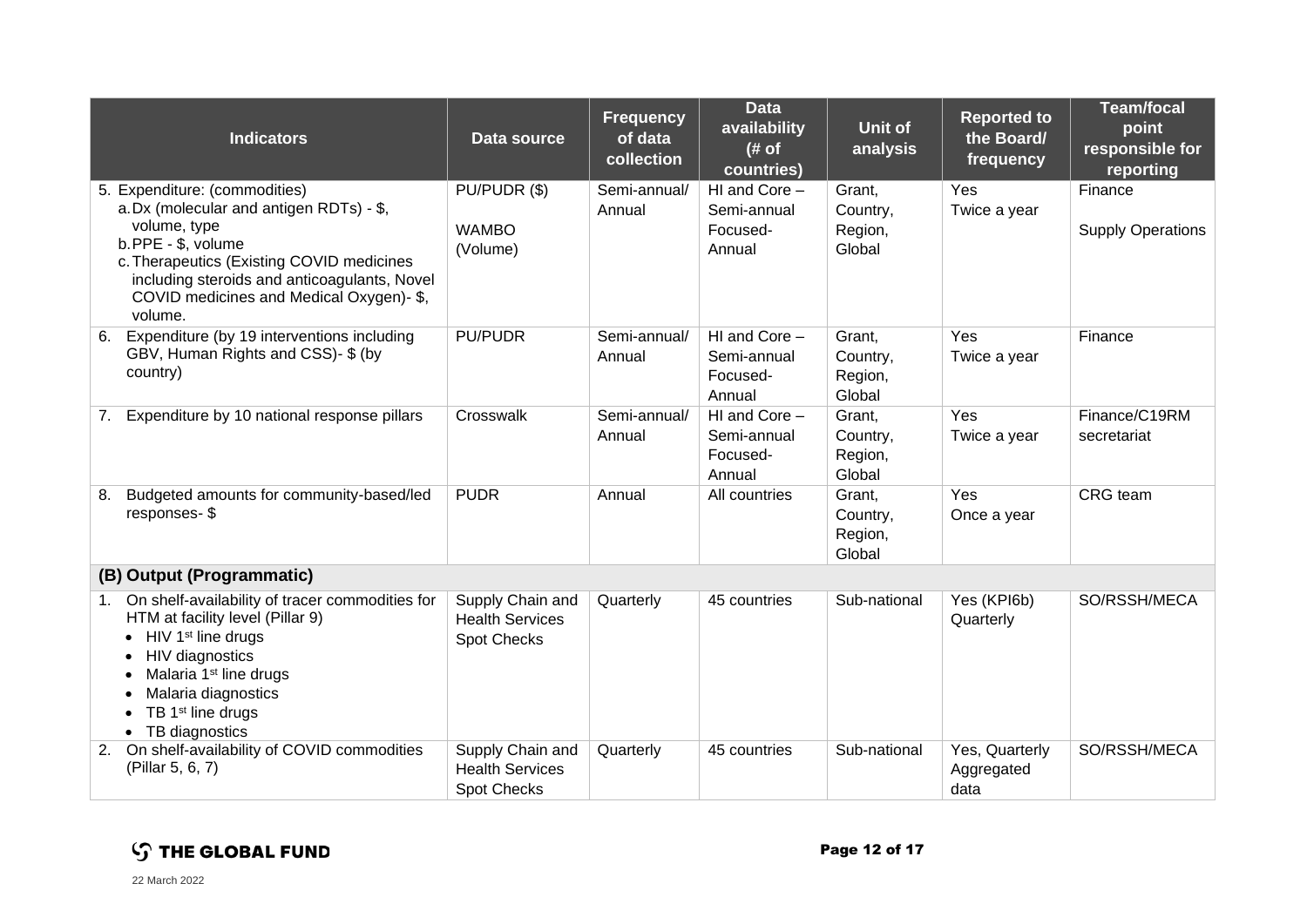| <b>Indicators</b>                                                                                                                                                                                                                                                  | Data source                                                      | <b>Frequency</b><br>of data<br>collection | <b>Data</b><br>availability<br># of<br>countries)  | Unit of<br>analysis                     | <b>Reported to</b><br>the Board/<br>frequency | <b>Team/focal</b><br>point<br>responsible for<br>reporting |
|--------------------------------------------------------------------------------------------------------------------------------------------------------------------------------------------------------------------------------------------------------------------|------------------------------------------------------------------|-------------------------------------------|----------------------------------------------------|-----------------------------------------|-----------------------------------------------|------------------------------------------------------------|
| 5. Expenditure: (commodities)<br>a.Dx (molecular and antigen RDTs) - \$,<br>volume, type<br>b.PPE - \$, volume<br>c. Therapeutics (Existing COVID medicines<br>including steroids and anticoagulants, Novel<br>COVID medicines and Medical Oxygen)- \$,<br>volume. | PU/PUDR (\$)<br><b>WAMBO</b><br>(Volume)                         | Semi-annual/<br>Annual                    | HI and Core -<br>Semi-annual<br>Focused-<br>Annual | Grant,<br>Country,<br>Region,<br>Global | Yes<br>Twice a year                           | Finance<br><b>Supply Operations</b>                        |
| Expenditure (by 19 interventions including<br>6.<br>GBV, Human Rights and CSS)- \$ (by<br>country)                                                                                                                                                                 | <b>PU/PUDR</b>                                                   | Semi-annual/<br>Annual                    | HI and Core -<br>Semi-annual<br>Focused-<br>Annual | Grant,<br>Country,<br>Region,<br>Global | Yes<br>Twice a year                           | Finance                                                    |
| Expenditure by 10 national response pillars<br>7.                                                                                                                                                                                                                  | Crosswalk                                                        | Semi-annual/<br>Annual                    | HI and Core -<br>Semi-annual<br>Focused-<br>Annual | Grant,<br>Country,<br>Region,<br>Global | Yes<br>Twice a year                           | Finance/C19RM<br>secretariat                               |
| Budgeted amounts for community-based/led<br>8.<br>responses-\$                                                                                                                                                                                                     | <b>PUDR</b>                                                      | Annual                                    | All countries                                      | Grant,<br>Country,<br>Region,<br>Global | Yes<br>Once a year                            | CRG team                                                   |
| (B) Output (Programmatic)                                                                                                                                                                                                                                          |                                                                  |                                           |                                                    |                                         |                                               |                                                            |
| On shelf-availability of tracer commodities for<br>1.<br>HTM at facility level (Pillar 9)<br>HIV 1 <sup>st</sup> line drugs<br>HIV diagnostics<br>Malaria 1 <sup>st</sup> line drugs<br>Malaria diagnostics<br>TB 1 <sup>st</sup> line drugs<br>• TB diagnostics   | Supply Chain and<br><b>Health Services</b><br><b>Spot Checks</b> | Quarterly                                 | 45 countries                                       | Sub-national                            | Yes (KPI6b)<br>Quarterly                      | SO/RSSH/MECA                                               |
| On shelf-availability of COVID commodities<br>2.<br>(Pillar 5, 6, 7)                                                                                                                                                                                               | Supply Chain and<br><b>Health Services</b><br><b>Spot Checks</b> | Quarterly                                 | 45 countries                                       | Sub-national                            | Yes, Quarterly<br>Aggregated<br>data          | SO/RSSH/MECA                                               |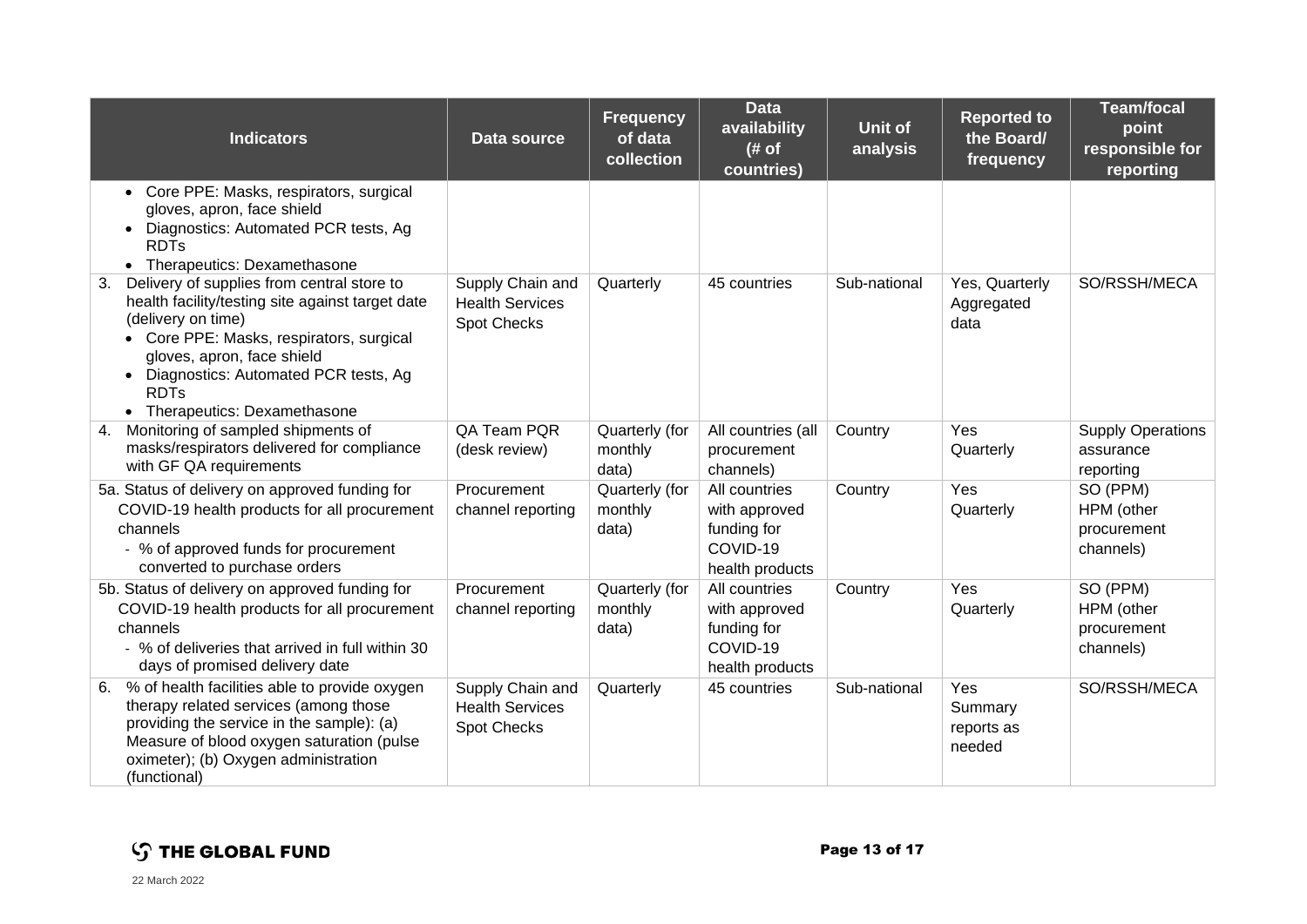| <b>Indicators</b>                                                                                                                                                                                                                                                                          | Data source                                                      | <b>Frequency</b><br>of data<br>collection | <b>Data</b><br>availability<br># of<br>countries)                            | <b>Unit of</b><br>analysis | <b>Reported to</b><br>the Board/<br>frequency | <b>Team/focal</b><br>point<br>responsible for<br>reporting |
|--------------------------------------------------------------------------------------------------------------------------------------------------------------------------------------------------------------------------------------------------------------------------------------------|------------------------------------------------------------------|-------------------------------------------|------------------------------------------------------------------------------|----------------------------|-----------------------------------------------|------------------------------------------------------------|
| Core PPE: Masks, respirators, surgical<br>$\bullet$<br>gloves, apron, face shield<br>Diagnostics: Automated PCR tests, Ag<br><b>RDTs</b><br>• Therapeutics: Dexamethasone                                                                                                                  |                                                                  |                                           |                                                                              |                            |                                               |                                                            |
| Delivery of supplies from central store to<br>3.<br>health facility/testing site against target date<br>(delivery on time)<br>Core PPE: Masks, respirators, surgical<br>gloves, apron, face shield<br>Diagnostics: Automated PCR tests, Ag<br><b>RDTs</b><br>• Therapeutics: Dexamethasone | Supply Chain and<br><b>Health Services</b><br><b>Spot Checks</b> | Quarterly                                 | 45 countries                                                                 | Sub-national               | Yes, Quarterly<br>Aggregated<br>data          | SO/RSSH/MECA                                               |
| Monitoring of sampled shipments of<br>4.<br>masks/respirators delivered for compliance<br>with GF QA requirements                                                                                                                                                                          | QA Team PQR<br>(desk review)                                     | Quarterly (for<br>monthly<br>data)        | All countries (all<br>procurement<br>channels)                               | Country                    | Yes<br>Quarterly                              | <b>Supply Operations</b><br>assurance<br>reporting         |
| 5a. Status of delivery on approved funding for<br>COVID-19 health products for all procurement<br>channels<br>- % of approved funds for procurement<br>converted to purchase orders                                                                                                        | Procurement<br>channel reporting                                 | Quarterly (for<br>monthly<br>data)        | All countries<br>with approved<br>funding for<br>COVID-19<br>health products | Country                    | Yes<br>Quarterly                              | SO (PPM)<br>HPM (other<br>procurement<br>channels)         |
| 5b. Status of delivery on approved funding for<br>COVID-19 health products for all procurement<br>channels<br>- % of deliveries that arrived in full within 30<br>days of promised delivery date                                                                                           | Procurement<br>channel reporting                                 | Quarterly (for<br>monthly<br>data)        | All countries<br>with approved<br>funding for<br>COVID-19<br>health products | Country                    | Yes<br>Quarterly                              | SO (PPM)<br>HPM (other<br>procurement<br>channels)         |
| % of health facilities able to provide oxygen<br>6.<br>therapy related services (among those<br>providing the service in the sample): (a)<br>Measure of blood oxygen saturation (pulse<br>oximeter); (b) Oxygen administration<br>(functional)                                             | Supply Chain and<br><b>Health Services</b><br><b>Spot Checks</b> | Quarterly                                 | 45 countries                                                                 | Sub-national               | Yes<br>Summary<br>reports as<br>needed        | SO/RSSH/MECA                                               |

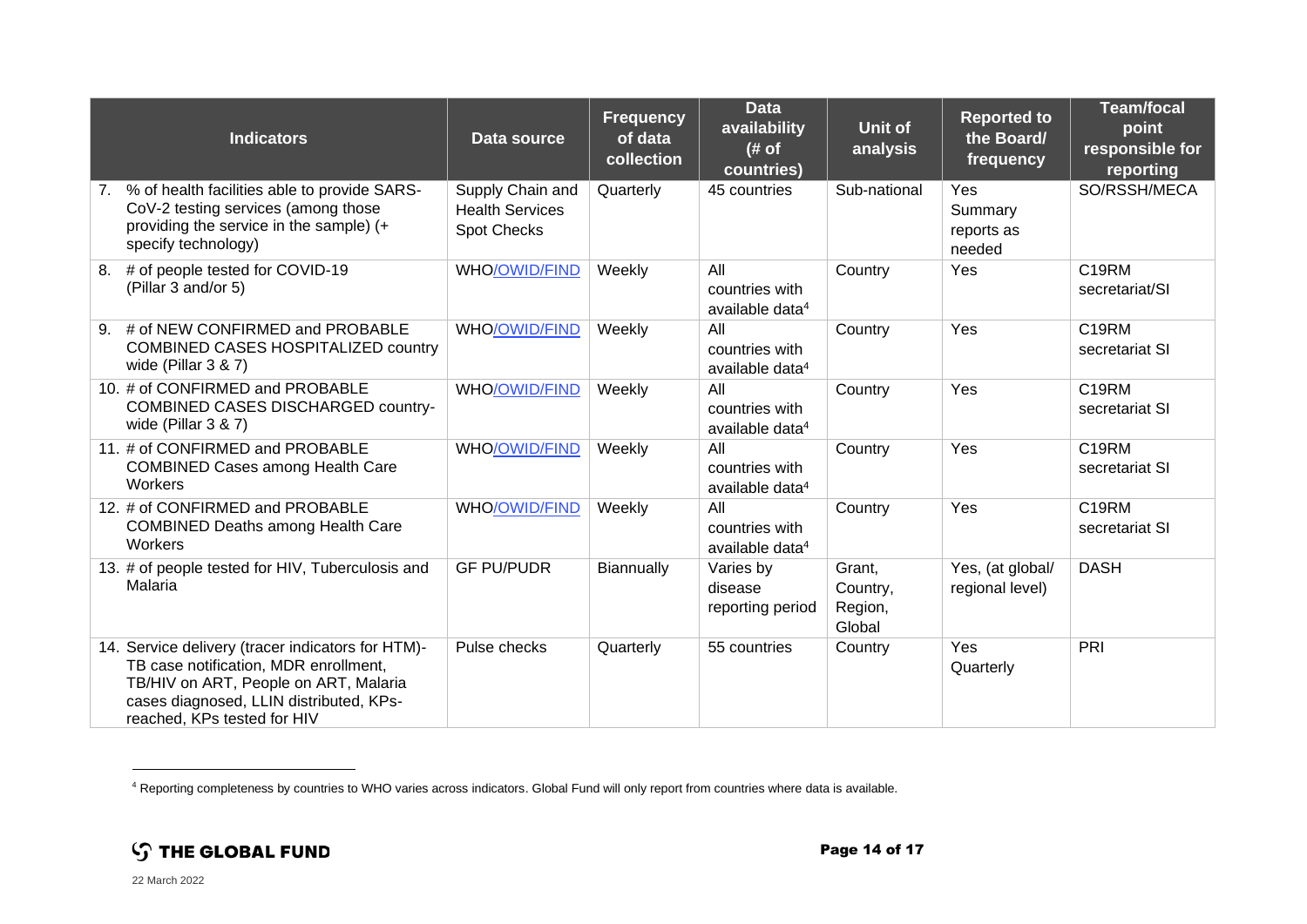| <b>Indicators</b>                                                                                                                                                                                             | Data source                                                      | <b>Frequency</b><br>of data<br>collection | <b>Data</b><br>availability<br>(# of)<br>countries)  | Unit of<br>analysis                     | <b>Reported to</b><br>the Board/<br>frequency | <b>Team/focal</b><br>point<br>responsible for<br>reporting |
|---------------------------------------------------------------------------------------------------------------------------------------------------------------------------------------------------------------|------------------------------------------------------------------|-------------------------------------------|------------------------------------------------------|-----------------------------------------|-----------------------------------------------|------------------------------------------------------------|
| 7. % of health facilities able to provide SARS-<br>CoV-2 testing services (among those<br>providing the service in the sample) (+<br>specify technology)                                                      | Supply Chain and<br><b>Health Services</b><br><b>Spot Checks</b> | Quarterly                                 | 45 countries                                         | Sub-national                            | Yes<br>Summary<br>reports as<br>needed        | SO/RSSH/MECA                                               |
| # of people tested for COVID-19<br>8.<br>(Pillar 3 and/or 5)                                                                                                                                                  | WHO/OWID/FIND                                                    | Weekly                                    | All<br>countries with<br>available data <sup>4</sup> | Country                                 | Yes                                           | C19RM<br>secretariat/SI                                    |
| # of NEW CONFIRMED and PROBABLE<br>9.<br><b>COMBINED CASES HOSPITALIZED country</b><br>wide (Pillar $3 & 7$ )                                                                                                 | <b>WHO/OWID/FIND</b>                                             | Weekly                                    | All<br>countries with<br>available data <sup>4</sup> | Country                                 | Yes                                           | C19RM<br>secretariat SI                                    |
| 10. # of CONFIRMED and PROBABLE<br><b>COMBINED CASES DISCHARGED country-</b><br>wide (Pillar $3 & 87$ )                                                                                                       | <b>WHO/OWID/FIND</b>                                             | Weekly                                    | All<br>countries with<br>available data <sup>4</sup> | Country                                 | Yes                                           | C19RM<br>secretariat SI                                    |
| 11. # of CONFIRMED and PROBABLE<br><b>COMBINED Cases among Health Care</b><br>Workers                                                                                                                         | <b>WHO/OWID/FIND</b>                                             | Weekly                                    | All<br>countries with<br>available data <sup>4</sup> | Country                                 | Yes                                           | C <sub>19RM</sub><br>secretariat SI                        |
| 12. # of CONFIRMED and PROBABLE<br><b>COMBINED Deaths among Health Care</b><br>Workers                                                                                                                        | <b>WHO/OWID/FIND</b>                                             | Weekly                                    | All<br>countries with<br>available data <sup>4</sup> | Country                                 | Yes                                           | C <sub>19RM</sub><br>secretariat SI                        |
| 13. # of people tested for HIV, Tuberculosis and<br>Malaria                                                                                                                                                   | <b>GF PU/PUDR</b>                                                | Biannually                                | Varies by<br>disease<br>reporting period             | Grant,<br>Country,<br>Region,<br>Global | Yes, (at global/<br>regional level)           | <b>DASH</b>                                                |
| 14. Service delivery (tracer indicators for HTM)-<br>TB case notification, MDR enrollment,<br>TB/HIV on ART, People on ART, Malaria<br>cases diagnosed, LLIN distributed, KPs-<br>reached, KPs tested for HIV | Pulse checks                                                     | Quarterly                                 | 55 countries                                         | Country                                 | Yes<br>Quarterly                              | PRI                                                        |

<sup>4</sup> Reporting completeness by countries to WHO varies across indicators. Global Fund will only report from countries where data is available.

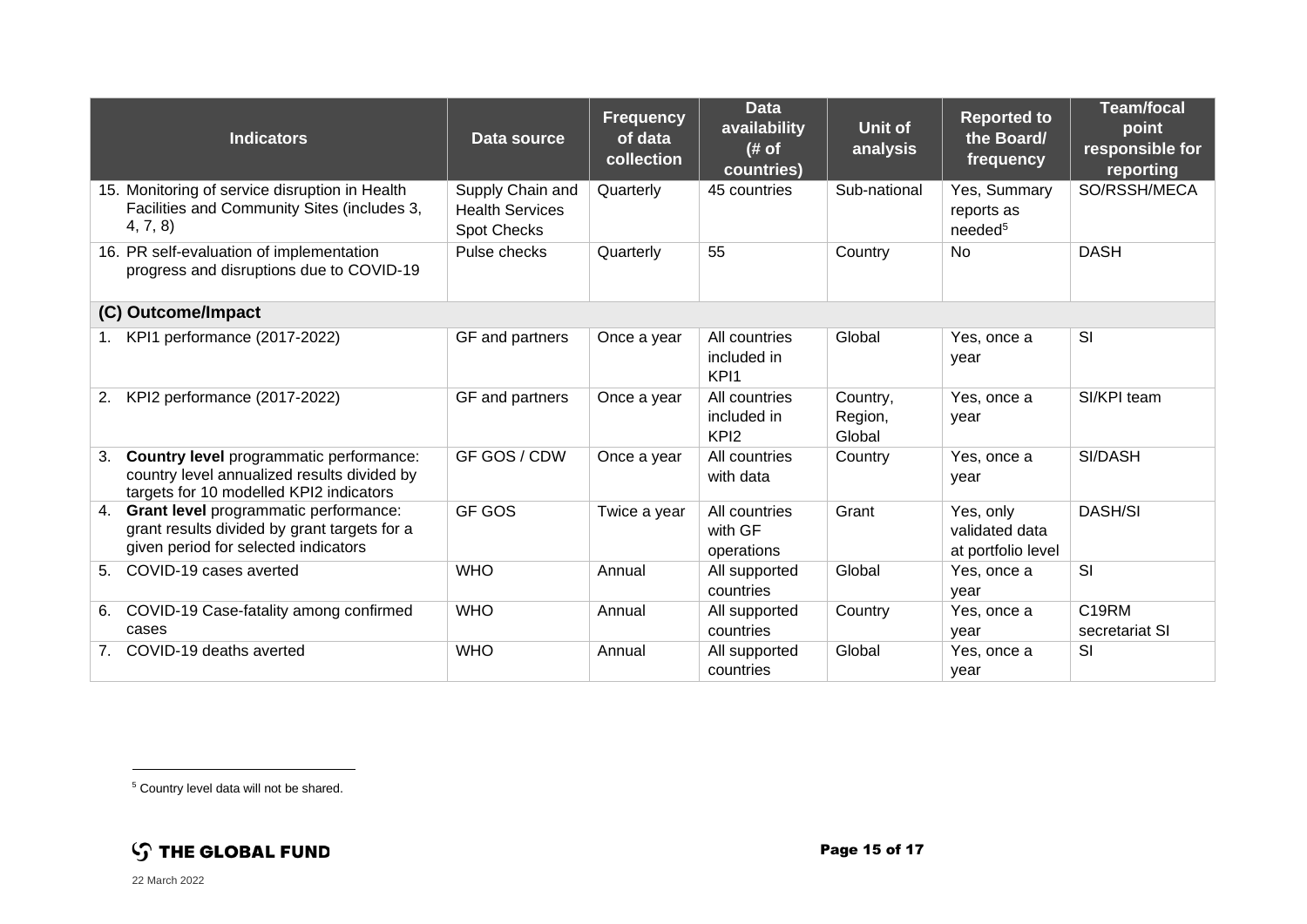| <b>Indicators</b>                                                                                                                       | Data source                                                      | <b>Frequency</b><br>of data<br>collection | <b>Data</b><br>availability<br># of<br>countries) | <b>Unit of</b><br>analysis    | <b>Reported to</b><br>the Board/<br>frequency     | <b>Team/focal</b><br>point<br>responsible for<br>reporting |
|-----------------------------------------------------------------------------------------------------------------------------------------|------------------------------------------------------------------|-------------------------------------------|---------------------------------------------------|-------------------------------|---------------------------------------------------|------------------------------------------------------------|
| 15. Monitoring of service disruption in Health<br>Facilities and Community Sites (includes 3,<br>4, 7, 8                                | Supply Chain and<br><b>Health Services</b><br><b>Spot Checks</b> | Quarterly                                 | 45 countries                                      | Sub-national                  | Yes, Summary<br>reports as<br>needed <sup>5</sup> | SO/RSSH/MECA                                               |
| 16. PR self-evaluation of implementation<br>progress and disruptions due to COVID-19                                                    | Pulse checks                                                     | Quarterly                                 | 55                                                | Country                       | No                                                | <b>DASH</b>                                                |
| (C) Outcome/Impact                                                                                                                      |                                                                  |                                           |                                                   |                               |                                                   |                                                            |
| KPI1 performance (2017-2022)<br>1.                                                                                                      | GF and partners                                                  | Once a year                               | All countries<br>included in<br>KPI <sub>1</sub>  | Global                        | Yes, once a<br>year                               | SI                                                         |
| KPI2 performance (2017-2022)<br>2.                                                                                                      | GF and partners                                                  | Once a year                               | All countries<br>included in<br>KPI <sub>2</sub>  | Country,<br>Region,<br>Global | Yes, once a<br>year                               | SI/KPI team                                                |
| Country level programmatic performance:<br>3.<br>country level annualized results divided by<br>targets for 10 modelled KPI2 indicators | GF GOS / CDW                                                     | Once a year                               | All countries<br>with data                        | Country                       | Yes, once a<br>year                               | SI/DASH                                                    |
| Grant level programmatic performance:<br>4.<br>grant results divided by grant targets for a<br>given period for selected indicators     | <b>GF GOS</b>                                                    | Twice a year                              | All countries<br>with GF<br>operations            | Grant                         | Yes, only<br>validated data<br>at portfolio level | <b>DASH/SI</b>                                             |
| COVID-19 cases averted<br>5.                                                                                                            | <b>WHO</b>                                                       | Annual                                    | All supported<br>countries                        | Global                        | Yes, once a<br>year                               | SI                                                         |
| COVID-19 Case-fatality among confirmed<br>6.<br>cases                                                                                   | <b>WHO</b>                                                       | Annual                                    | All supported<br>countries                        | Country                       | Yes, once a<br>year                               | C19RM<br>secretariat SI                                    |
| COVID-19 deaths averted<br>7 <sub>1</sub>                                                                                               | <b>WHO</b>                                                       | Annual                                    | All supported<br>countries                        | Global                        | Yes, once a<br>year                               | SI                                                         |

<sup>5</sup> Country level data will not be shared.

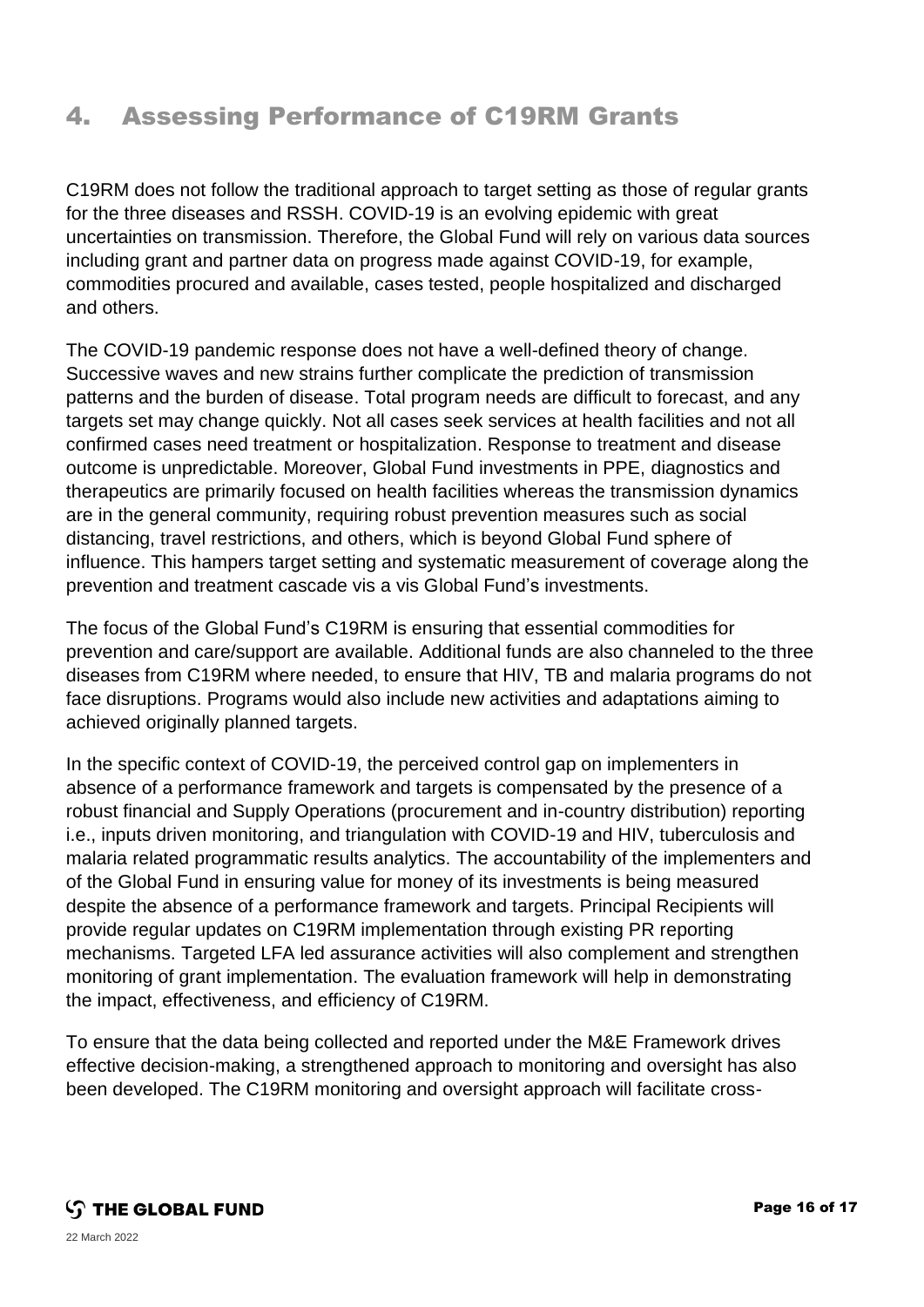## 4. Assessing Performance of C19RM Grants

C19RM does not follow the traditional approach to target setting as those of regular grants for the three diseases and RSSH. COVID-19 is an evolving epidemic with great uncertainties on transmission. Therefore, the Global Fund will rely on various data sources including grant and partner data on progress made against COVID-19, for example, commodities procured and available, cases tested, people hospitalized and discharged and others.

The COVID-19 pandemic response does not have a well-defined theory of change. Successive waves and new strains further complicate the prediction of transmission patterns and the burden of disease. Total program needs are difficult to forecast, and any targets set may change quickly. Not all cases seek services at health facilities and not all confirmed cases need treatment or hospitalization. Response to treatment and disease outcome is unpredictable. Moreover, Global Fund investments in PPE, diagnostics and therapeutics are primarily focused on health facilities whereas the transmission dynamics are in the general community, requiring robust prevention measures such as social distancing, travel restrictions, and others, which is beyond Global Fund sphere of influence. This hampers target setting and systematic measurement of coverage along the prevention and treatment cascade vis a vis Global Fund's investments.

The focus of the Global Fund's C19RM is ensuring that essential commodities for prevention and care/support are available. Additional funds are also channeled to the three diseases from C19RM where needed, to ensure that HIV, TB and malaria programs do not face disruptions. Programs would also include new activities and adaptations aiming to achieved originally planned targets.

In the specific context of COVID-19, the perceived control gap on implementers in absence of a performance framework and targets is compensated by the presence of a robust financial and Supply Operations (procurement and in-country distribution) reporting i.e., inputs driven monitoring, and triangulation with COVID-19 and HIV, tuberculosis and malaria related programmatic results analytics. The accountability of the implementers and of the Global Fund in ensuring value for money of its investments is being measured despite the absence of a performance framework and targets. Principal Recipients will provide regular updates on C19RM implementation through existing PR reporting mechanisms. Targeted LFA led assurance activities will also complement and strengthen monitoring of grant implementation. The evaluation framework will help in demonstrating the impact, effectiveness, and efficiency of C19RM.

To ensure that the data being collected and reported under the M&E Framework drives effective decision-making, a strengthened approach to monitoring and oversight has also been developed. The C19RM monitoring and oversight approach will facilitate cross-